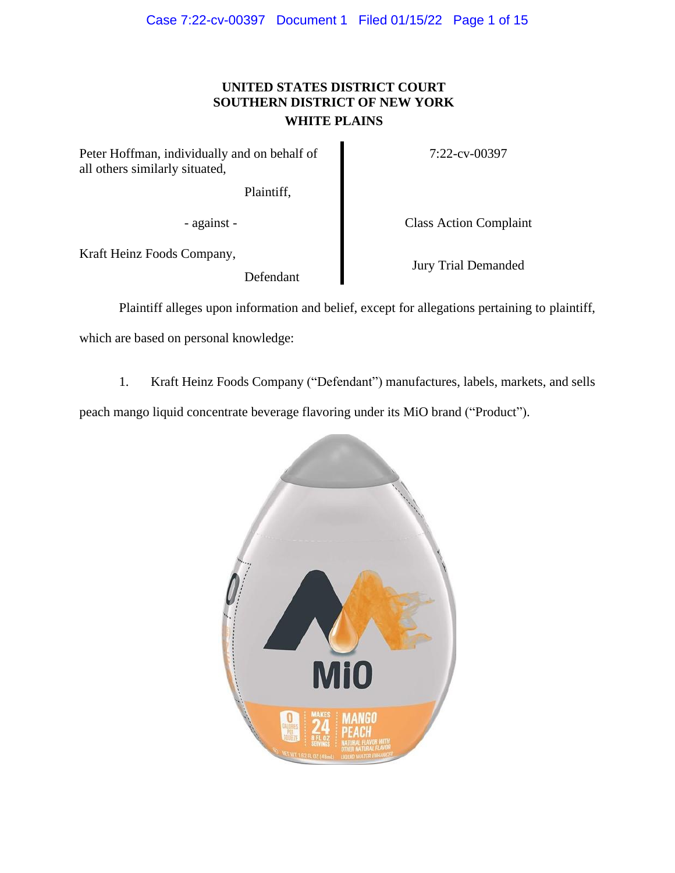# **UNITED STATES DISTRICT COURT SOUTHERN DISTRICT OF NEW YORK WHITE PLAINS**

Peter Hoffman, individually and on behalf of all others similarly situated,

Plaintiff,

7:22-cv-00397

- against - Class Action Complaint

Kraft Heinz Foods Company,

Defendant

Jury Trial Demanded

Plaintiff alleges upon information and belief, except for allegations pertaining to plaintiff,

which are based on personal knowledge:

1. Kraft Heinz Foods Company ("Defendant") manufactures, labels, markets, and sells

peach mango liquid concentrate beverage flavoring under its MiO brand ("Product").

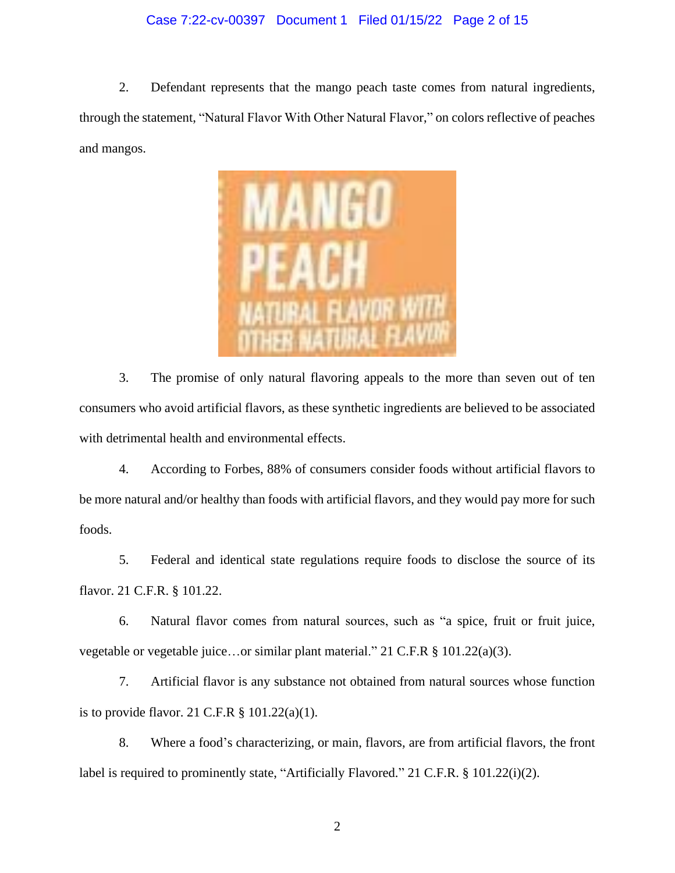## Case 7:22-cv-00397 Document 1 Filed 01/15/22 Page 2 of 15

2. Defendant represents that the mango peach taste comes from natural ingredients, through the statement, "Natural Flavor With Other Natural Flavor," on colors reflective of peaches and mangos.



3. The promise of only natural flavoring appeals to the more than seven out of ten consumers who avoid artificial flavors, as these synthetic ingredients are believed to be associated with detrimental health and environmental effects.

4. According to Forbes, 88% of consumers consider foods without artificial flavors to be more natural and/or healthy than foods with artificial flavors, and they would pay more for such foods.

5. Federal and identical state regulations require foods to disclose the source of its flavor. 21 C.F.R. § 101.22.

6. Natural flavor comes from natural sources, such as "a spice, fruit or fruit juice, vegetable or vegetable juice…or similar plant material." 21 C.F.R § 101.22(a)(3).

7. Artificial flavor is any substance not obtained from natural sources whose function is to provide flavor. 21 C.F.R § 101.22(a)(1).

8. Where a food's characterizing, or main, flavors, are from artificial flavors, the front label is required to prominently state, "Artificially Flavored." 21 C.F.R. § 101.22(i)(2).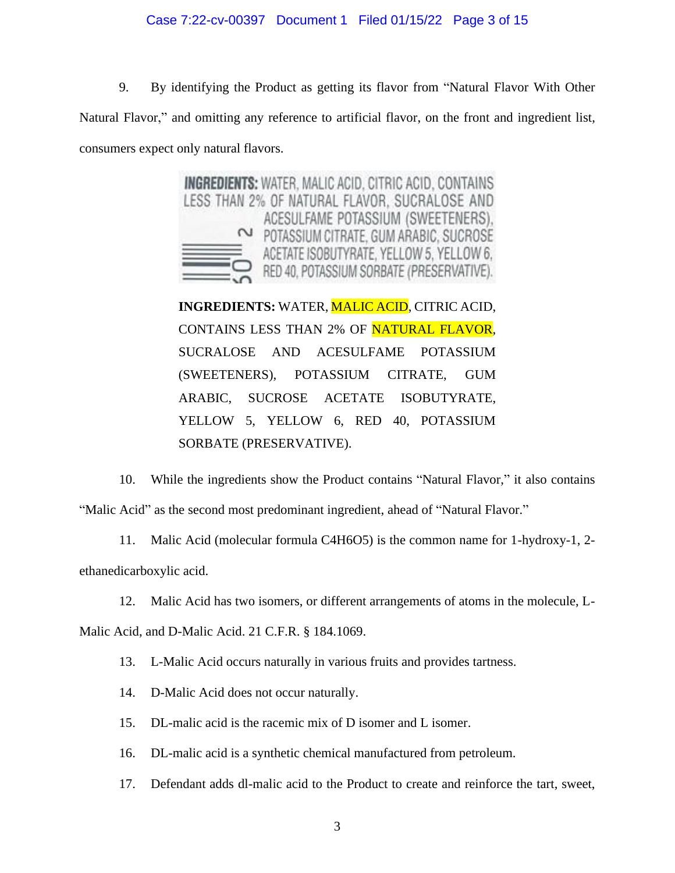9. By identifying the Product as getting its flavor from "Natural Flavor With Other

Natural Flavor," and omitting any reference to artificial flavor, on the front and ingredient list,

consumers expect only natural flavors.

**INGREDIENTS: WATER, MALIC ACID, CITRIC ACID, CONTAINS** LESS THAN 2% OF NATURAL FLAVOR, SUCRALOSE AND ACESULFAME POTASSIUM (SWEETENERS). POTASSIUM CITRATE, GUM ARABIC, SUCROSE ACETATE ISOBUTYRATE, YELLOW 5, YELLOW 6, RED 40, POTASSIUM SORBATE (PRESERVATIVE).

**INGREDIENTS:** WATER, MALIC ACID, CITRIC ACID, CONTAINS LESS THAN 2% OF NATURAL FLAVOR, SUCRALOSE AND ACESULFAME POTASSIUM (SWEETENERS), POTASSIUM CITRATE, GUM ARABIC, SUCROSE ACETATE ISOBUTYRATE, YELLOW 5, YELLOW 6, RED 40, POTASSIUM SORBATE (PRESERVATIVE).

10. While the ingredients show the Product contains "Natural Flavor," it also contains "Malic Acid" as the second most predominant ingredient, ahead of "Natural Flavor."

11. Malic Acid (molecular formula C4H6O5) is the common name for 1-hydroxy-1, 2 ethanedicarboxylic acid.

12. Malic Acid has two isomers, or different arrangements of atoms in the molecule, L-

Malic Acid, and D-Malic Acid. 21 C.F.R. § 184.1069.

13. L-Malic Acid occurs naturally in various fruits and provides tartness.

14. D-Malic Acid does not occur naturally.

15. DL-malic acid is the racemic mix of D isomer and L isomer.

16. DL-malic acid is a synthetic chemical manufactured from petroleum.

17. Defendant adds dl-malic acid to the Product to create and reinforce the tart, sweet,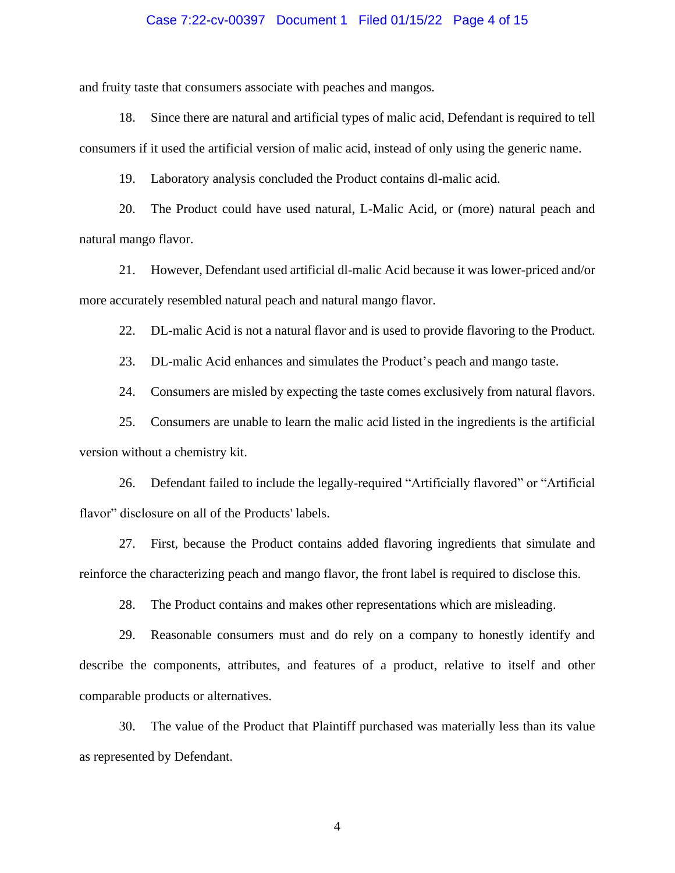#### Case 7:22-cv-00397 Document 1 Filed 01/15/22 Page 4 of 15

and fruity taste that consumers associate with peaches and mangos.

18. Since there are natural and artificial types of malic acid, Defendant is required to tell consumers if it used the artificial version of malic acid, instead of only using the generic name.

19. Laboratory analysis concluded the Product contains dl-malic acid.

20. The Product could have used natural, L-Malic Acid, or (more) natural peach and natural mango flavor.

21. However, Defendant used artificial dl-malic Acid because it was lower-priced and/or more accurately resembled natural peach and natural mango flavor.

22. DL-malic Acid is not a natural flavor and is used to provide flavoring to the Product.

23. DL-malic Acid enhances and simulates the Product's peach and mango taste.

24. Consumers are misled by expecting the taste comes exclusively from natural flavors.

25. Consumers are unable to learn the malic acid listed in the ingredients is the artificial version without a chemistry kit.

26. Defendant failed to include the legally-required "Artificially flavored" or "Artificial flavor" disclosure on all of the Products' labels.

27. First, because the Product contains added flavoring ingredients that simulate and reinforce the characterizing peach and mango flavor, the front label is required to disclose this.

28. The Product contains and makes other representations which are misleading.

29. Reasonable consumers must and do rely on a company to honestly identify and describe the components, attributes, and features of a product, relative to itself and other comparable products or alternatives.

30. The value of the Product that Plaintiff purchased was materially less than its value as represented by Defendant.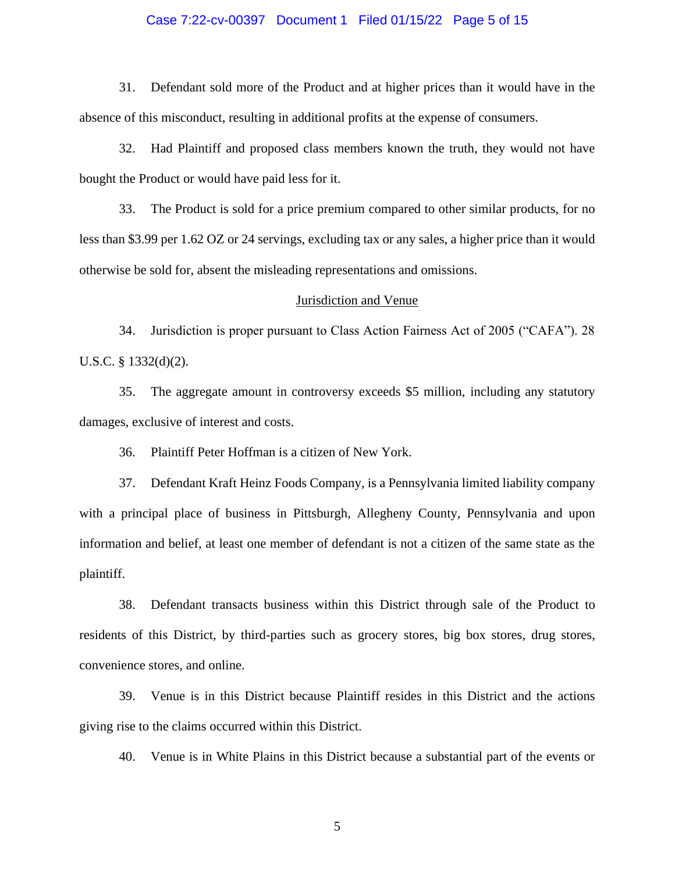#### Case 7:22-cv-00397 Document 1 Filed 01/15/22 Page 5 of 15

31. Defendant sold more of the Product and at higher prices than it would have in the absence of this misconduct, resulting in additional profits at the expense of consumers.

32. Had Plaintiff and proposed class members known the truth, they would not have bought the Product or would have paid less for it.

33. The Product is sold for a price premium compared to other similar products, for no less than \$3.99 per 1.62 OZ or 24 servings, excluding tax or any sales, a higher price than it would otherwise be sold for, absent the misleading representations and omissions.

#### Jurisdiction and Venue

34. Jurisdiction is proper pursuant to Class Action Fairness Act of 2005 ("CAFA"). 28 U.S.C. § 1332(d)(2).

35. The aggregate amount in controversy exceeds \$5 million, including any statutory damages, exclusive of interest and costs.

36. Plaintiff Peter Hoffman is a citizen of New York.

37. Defendant Kraft Heinz Foods Company, is a Pennsylvania limited liability company with a principal place of business in Pittsburgh, Allegheny County, Pennsylvania and upon information and belief, at least one member of defendant is not a citizen of the same state as the plaintiff.

38. Defendant transacts business within this District through sale of the Product to residents of this District, by third-parties such as grocery stores, big box stores, drug stores, convenience stores, and online.

39. Venue is in this District because Plaintiff resides in this District and the actions giving rise to the claims occurred within this District.

40. Venue is in White Plains in this District because a substantial part of the events or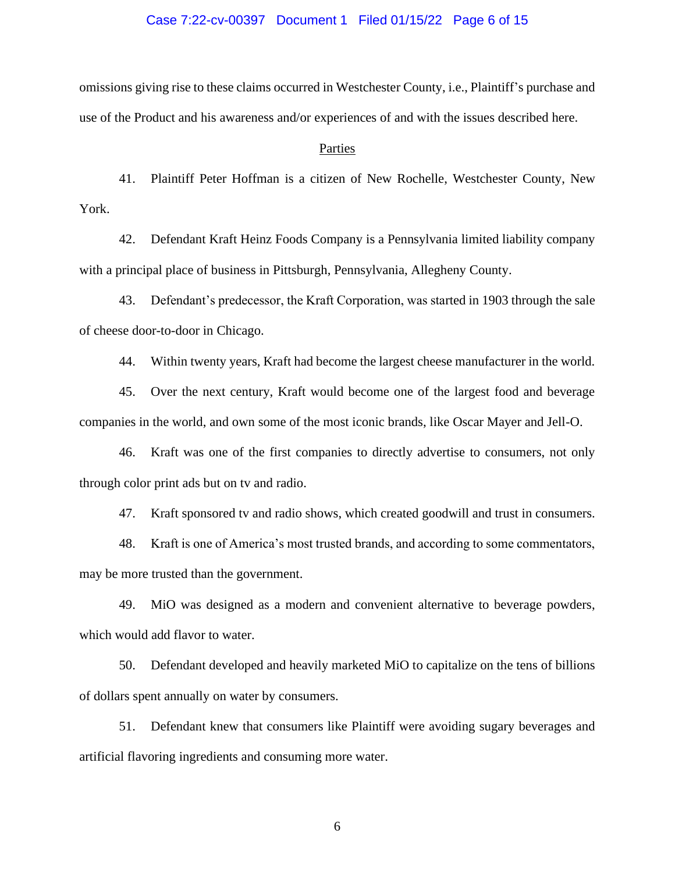#### Case 7:22-cv-00397 Document 1 Filed 01/15/22 Page 6 of 15

omissions giving rise to these claims occurred in Westchester County, i.e., Plaintiff's purchase and use of the Product and his awareness and/or experiences of and with the issues described here.

#### Parties

41. Plaintiff Peter Hoffman is a citizen of New Rochelle, Westchester County, New York.

42. Defendant Kraft Heinz Foods Company is a Pennsylvania limited liability company with a principal place of business in Pittsburgh, Pennsylvania, Allegheny County.

43. Defendant's predecessor, the Kraft Corporation, was started in 1903 through the sale of cheese door-to-door in Chicago.

44. Within twenty years, Kraft had become the largest cheese manufacturer in the world.

45. Over the next century, Kraft would become one of the largest food and beverage companies in the world, and own some of the most iconic brands, like Oscar Mayer and Jell-O.

46. Kraft was one of the first companies to directly advertise to consumers, not only through color print ads but on tv and radio.

47. Kraft sponsored tv and radio shows, which created goodwill and trust in consumers.

48. Kraft is one of America's most trusted brands, and according to some commentators, may be more trusted than the government.

49. MiO was designed as a modern and convenient alternative to beverage powders, which would add flavor to water.

50. Defendant developed and heavily marketed MiO to capitalize on the tens of billions of dollars spent annually on water by consumers.

51. Defendant knew that consumers like Plaintiff were avoiding sugary beverages and artificial flavoring ingredients and consuming more water.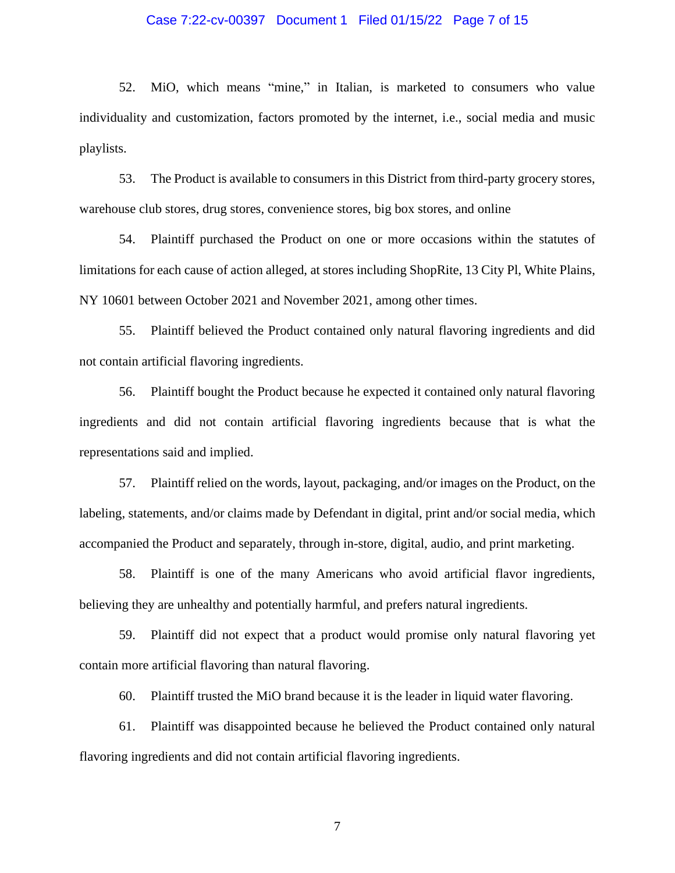### Case 7:22-cv-00397 Document 1 Filed 01/15/22 Page 7 of 15

52. MiO, which means "mine," in Italian, is marketed to consumers who value individuality and customization, factors promoted by the internet, i.e., social media and music playlists.

53. The Product is available to consumers in this District from third-party grocery stores, warehouse club stores, drug stores, convenience stores, big box stores, and online

54. Plaintiff purchased the Product on one or more occasions within the statutes of limitations for each cause of action alleged, at stores including ShopRite, 13 City Pl, White Plains, NY 10601 between October 2021 and November 2021, among other times.

55. Plaintiff believed the Product contained only natural flavoring ingredients and did not contain artificial flavoring ingredients.

56. Plaintiff bought the Product because he expected it contained only natural flavoring ingredients and did not contain artificial flavoring ingredients because that is what the representations said and implied.

57. Plaintiff relied on the words, layout, packaging, and/or images on the Product, on the labeling, statements, and/or claims made by Defendant in digital, print and/or social media, which accompanied the Product and separately, through in-store, digital, audio, and print marketing.

58. Plaintiff is one of the many Americans who avoid artificial flavor ingredients, believing they are unhealthy and potentially harmful, and prefers natural ingredients.

59. Plaintiff did not expect that a product would promise only natural flavoring yet contain more artificial flavoring than natural flavoring.

60. Plaintiff trusted the MiO brand because it is the leader in liquid water flavoring.

61. Plaintiff was disappointed because he believed the Product contained only natural flavoring ingredients and did not contain artificial flavoring ingredients.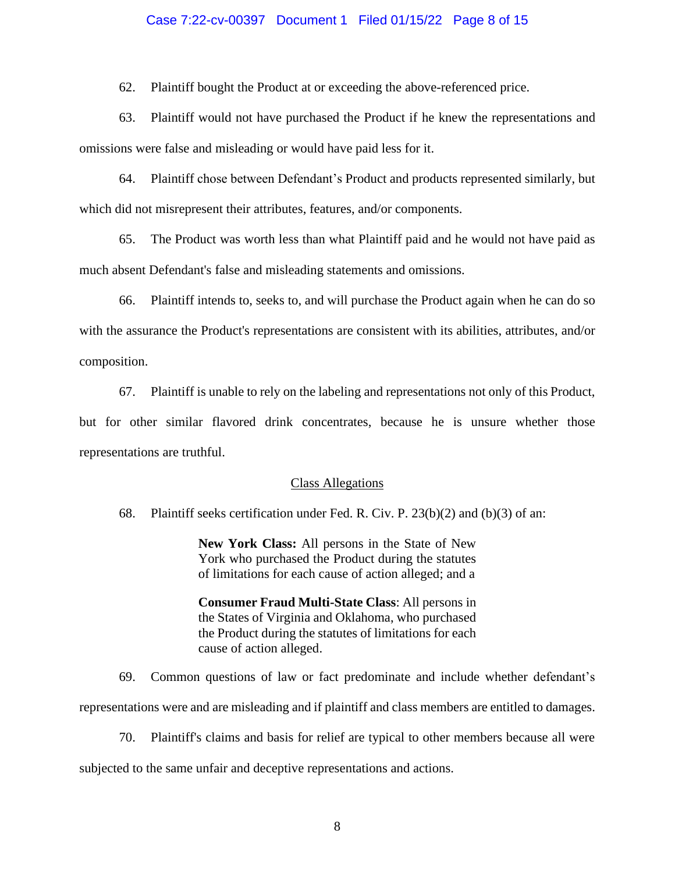#### Case 7:22-cv-00397 Document 1 Filed 01/15/22 Page 8 of 15

62. Plaintiff bought the Product at or exceeding the above-referenced price.

63. Plaintiff would not have purchased the Product if he knew the representations and omissions were false and misleading or would have paid less for it.

64. Plaintiff chose between Defendant's Product and products represented similarly, but which did not misrepresent their attributes, features, and/or components.

65. The Product was worth less than what Plaintiff paid and he would not have paid as much absent Defendant's false and misleading statements and omissions.

66. Plaintiff intends to, seeks to, and will purchase the Product again when he can do so with the assurance the Product's representations are consistent with its abilities, attributes, and/or composition.

67. Plaintiff is unable to rely on the labeling and representations not only of this Product, but for other similar flavored drink concentrates, because he is unsure whether those representations are truthful.

#### Class Allegations

68. Plaintiff seeks certification under Fed. R. Civ. P. 23(b)(2) and (b)(3) of an:

**New York Class:** All persons in the State of New York who purchased the Product during the statutes of limitations for each cause of action alleged; and a

**Consumer Fraud Multi-State Class**: All persons in the States of Virginia and Oklahoma, who purchased the Product during the statutes of limitations for each cause of action alleged.

69. Common questions of law or fact predominate and include whether defendant's

representations were and are misleading and if plaintiff and class members are entitled to damages.

70. Plaintiff's claims and basis for relief are typical to other members because all were

subjected to the same unfair and deceptive representations and actions.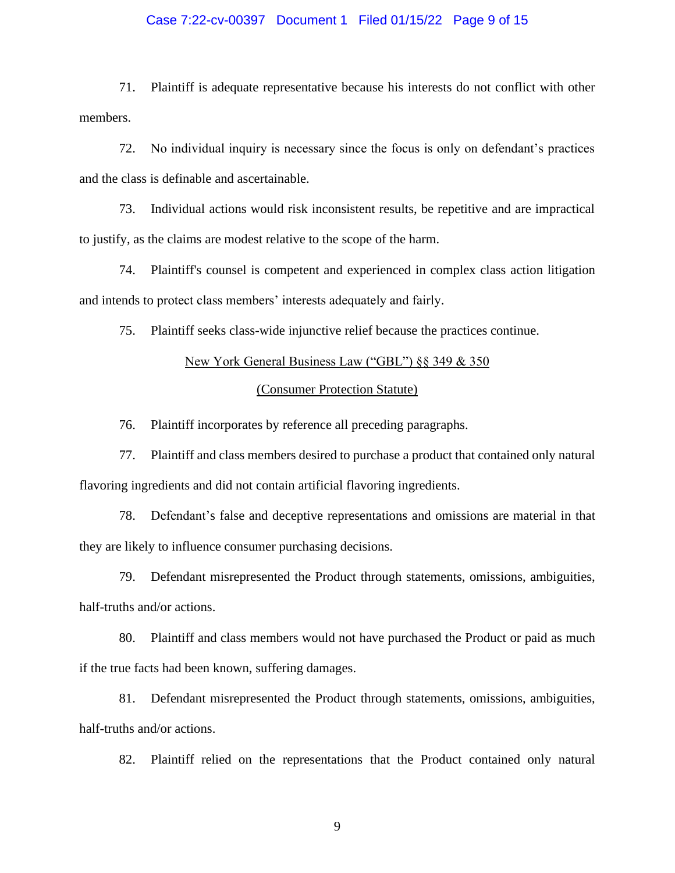### Case 7:22-cv-00397 Document 1 Filed 01/15/22 Page 9 of 15

71. Plaintiff is adequate representative because his interests do not conflict with other members.

72. No individual inquiry is necessary since the focus is only on defendant's practices and the class is definable and ascertainable.

73. Individual actions would risk inconsistent results, be repetitive and are impractical to justify, as the claims are modest relative to the scope of the harm.

74. Plaintiff's counsel is competent and experienced in complex class action litigation and intends to protect class members' interests adequately and fairly.

75. Plaintiff seeks class-wide injunctive relief because the practices continue.

## New York General Business Law ("GBL") §§ 349 & 350

## (Consumer Protection Statute)

76. Plaintiff incorporates by reference all preceding paragraphs.

77. Plaintiff and class members desired to purchase a product that contained only natural flavoring ingredients and did not contain artificial flavoring ingredients.

78. Defendant's false and deceptive representations and omissions are material in that they are likely to influence consumer purchasing decisions.

79. Defendant misrepresented the Product through statements, omissions, ambiguities, half-truths and/or actions.

80. Plaintiff and class members would not have purchased the Product or paid as much if the true facts had been known, suffering damages.

81. Defendant misrepresented the Product through statements, omissions, ambiguities, half-truths and/or actions.

82. Plaintiff relied on the representations that the Product contained only natural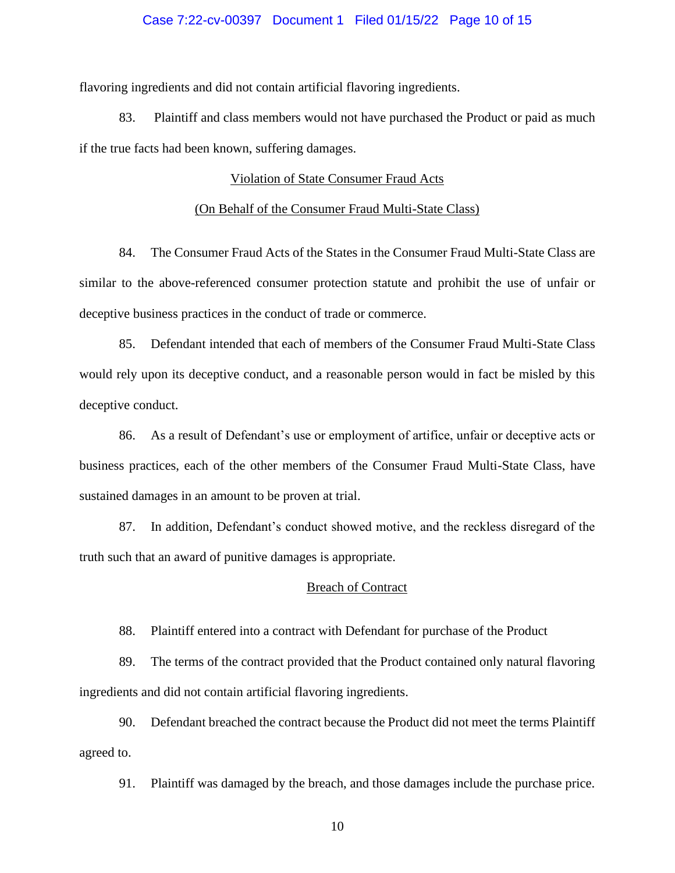#### Case 7:22-cv-00397 Document 1 Filed 01/15/22 Page 10 of 15

flavoring ingredients and did not contain artificial flavoring ingredients.

83. Plaintiff and class members would not have purchased the Product or paid as much if the true facts had been known, suffering damages.

### Violation of State Consumer Fraud Acts

## (On Behalf of the Consumer Fraud Multi-State Class)

84. The Consumer Fraud Acts of the States in the Consumer Fraud Multi-State Class are similar to the above-referenced consumer protection statute and prohibit the use of unfair or deceptive business practices in the conduct of trade or commerce.

85. Defendant intended that each of members of the Consumer Fraud Multi-State Class would rely upon its deceptive conduct, and a reasonable person would in fact be misled by this deceptive conduct.

86. As a result of Defendant's use or employment of artifice, unfair or deceptive acts or business practices, each of the other members of the Consumer Fraud Multi-State Class, have sustained damages in an amount to be proven at trial.

87. In addition, Defendant's conduct showed motive, and the reckless disregard of the truth such that an award of punitive damages is appropriate.

### Breach of Contract

88. Plaintiff entered into a contract with Defendant for purchase of the Product

89. The terms of the contract provided that the Product contained only natural flavoring ingredients and did not contain artificial flavoring ingredients.

90. Defendant breached the contract because the Product did not meet the terms Plaintiff agreed to.

91. Plaintiff was damaged by the breach, and those damages include the purchase price.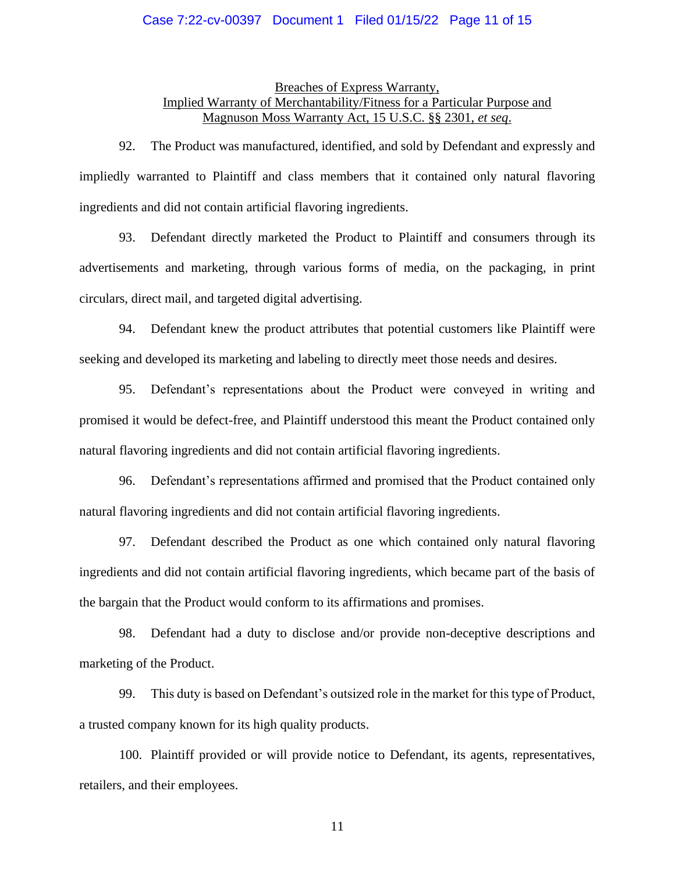## Case 7:22-cv-00397 Document 1 Filed 01/15/22 Page 11 of 15

## Breaches of Express Warranty, Implied Warranty of Merchantability/Fitness for a Particular Purpose and Magnuson Moss Warranty Act, 15 U.S.C. §§ 2301, *et seq*.

92. The Product was manufactured, identified, and sold by Defendant and expressly and impliedly warranted to Plaintiff and class members that it contained only natural flavoring ingredients and did not contain artificial flavoring ingredients.

93. Defendant directly marketed the Product to Plaintiff and consumers through its advertisements and marketing, through various forms of media, on the packaging, in print circulars, direct mail, and targeted digital advertising.

94. Defendant knew the product attributes that potential customers like Plaintiff were seeking and developed its marketing and labeling to directly meet those needs and desires.

95. Defendant's representations about the Product were conveyed in writing and promised it would be defect-free, and Plaintiff understood this meant the Product contained only natural flavoring ingredients and did not contain artificial flavoring ingredients.

96. Defendant's representations affirmed and promised that the Product contained only natural flavoring ingredients and did not contain artificial flavoring ingredients.

97. Defendant described the Product as one which contained only natural flavoring ingredients and did not contain artificial flavoring ingredients, which became part of the basis of the bargain that the Product would conform to its affirmations and promises.

98. Defendant had a duty to disclose and/or provide non-deceptive descriptions and marketing of the Product.

99. This duty is based on Defendant's outsized role in the market for this type of Product, a trusted company known for its high quality products.

100. Plaintiff provided or will provide notice to Defendant, its agents, representatives, retailers, and their employees.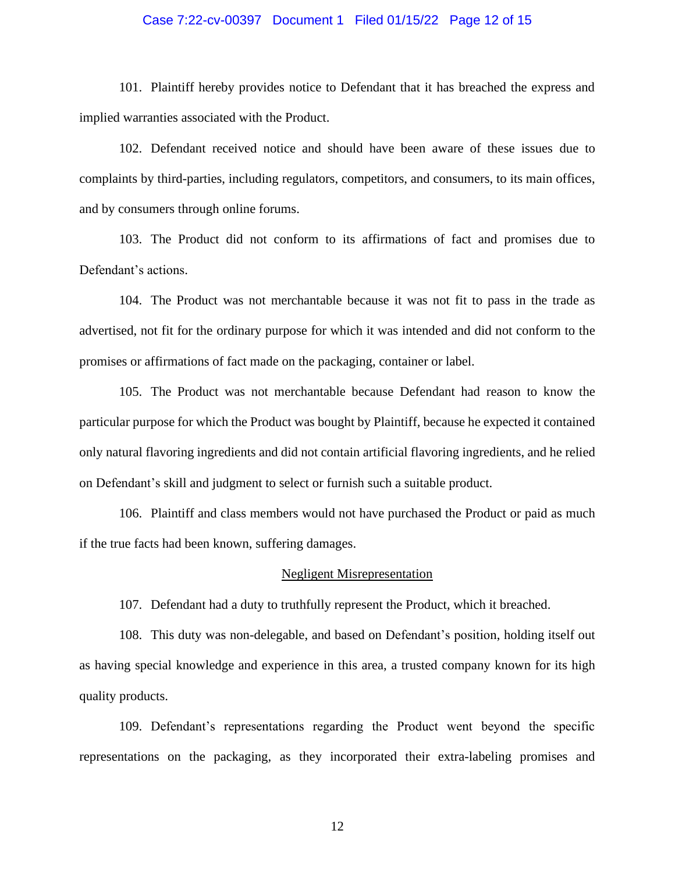#### Case 7:22-cv-00397 Document 1 Filed 01/15/22 Page 12 of 15

101. Plaintiff hereby provides notice to Defendant that it has breached the express and implied warranties associated with the Product.

102. Defendant received notice and should have been aware of these issues due to complaints by third-parties, including regulators, competitors, and consumers, to its main offices, and by consumers through online forums.

103. The Product did not conform to its affirmations of fact and promises due to Defendant's actions.

104. The Product was not merchantable because it was not fit to pass in the trade as advertised, not fit for the ordinary purpose for which it was intended and did not conform to the promises or affirmations of fact made on the packaging, container or label.

105. The Product was not merchantable because Defendant had reason to know the particular purpose for which the Product was bought by Plaintiff, because he expected it contained only natural flavoring ingredients and did not contain artificial flavoring ingredients, and he relied on Defendant's skill and judgment to select or furnish such a suitable product.

106. Plaintiff and class members would not have purchased the Product or paid as much if the true facts had been known, suffering damages.

#### Negligent Misrepresentation

107. Defendant had a duty to truthfully represent the Product, which it breached.

108. This duty was non-delegable, and based on Defendant's position, holding itself out as having special knowledge and experience in this area, a trusted company known for its high quality products.

109. Defendant's representations regarding the Product went beyond the specific representations on the packaging, as they incorporated their extra-labeling promises and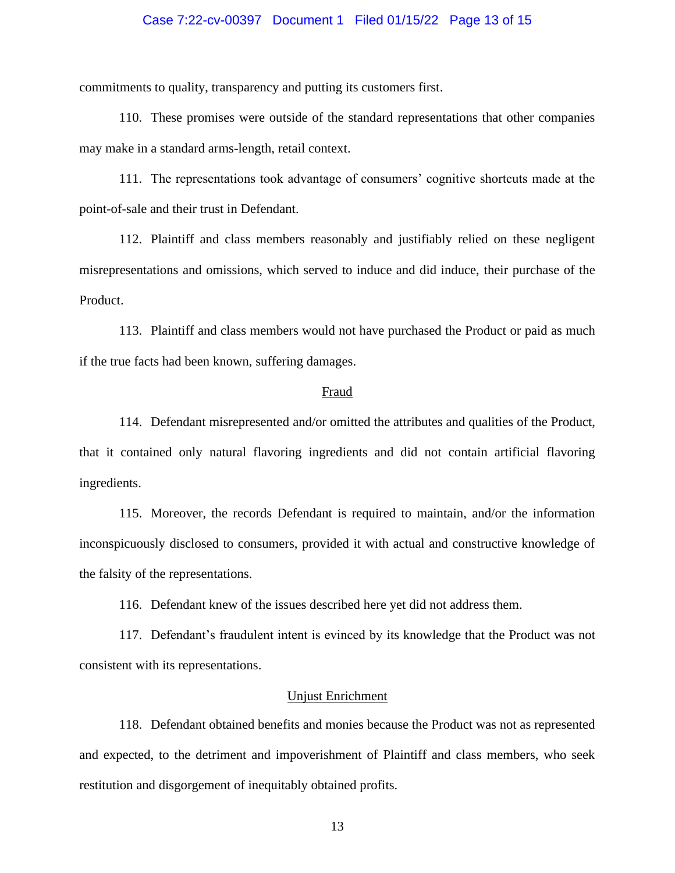#### Case 7:22-cv-00397 Document 1 Filed 01/15/22 Page 13 of 15

commitments to quality, transparency and putting its customers first.

110. These promises were outside of the standard representations that other companies may make in a standard arms-length, retail context.

111. The representations took advantage of consumers' cognitive shortcuts made at the point-of-sale and their trust in Defendant.

112. Plaintiff and class members reasonably and justifiably relied on these negligent misrepresentations and omissions, which served to induce and did induce, their purchase of the Product.

113. Plaintiff and class members would not have purchased the Product or paid as much if the true facts had been known, suffering damages.

#### Fraud

114. Defendant misrepresented and/or omitted the attributes and qualities of the Product, that it contained only natural flavoring ingredients and did not contain artificial flavoring ingredients.

115. Moreover, the records Defendant is required to maintain, and/or the information inconspicuously disclosed to consumers, provided it with actual and constructive knowledge of the falsity of the representations.

116. Defendant knew of the issues described here yet did not address them.

117. Defendant's fraudulent intent is evinced by its knowledge that the Product was not consistent with its representations.

#### Unjust Enrichment

118. Defendant obtained benefits and monies because the Product was not as represented and expected, to the detriment and impoverishment of Plaintiff and class members, who seek restitution and disgorgement of inequitably obtained profits.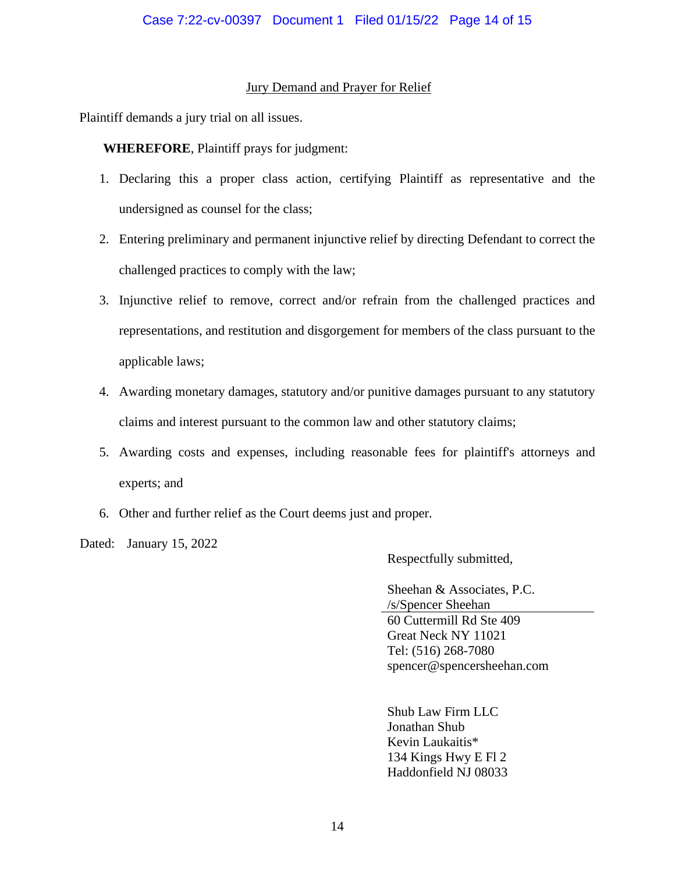## Jury Demand and Prayer for Relief

Plaintiff demands a jury trial on all issues.

**WHEREFORE**, Plaintiff prays for judgment:

- 1. Declaring this a proper class action, certifying Plaintiff as representative and the undersigned as counsel for the class;
- 2. Entering preliminary and permanent injunctive relief by directing Defendant to correct the challenged practices to comply with the law;
- 3. Injunctive relief to remove, correct and/or refrain from the challenged practices and representations, and restitution and disgorgement for members of the class pursuant to the applicable laws;
- 4. Awarding monetary damages, statutory and/or punitive damages pursuant to any statutory claims and interest pursuant to the common law and other statutory claims;
- 5. Awarding costs and expenses, including reasonable fees for plaintiff's attorneys and experts; and
- 6. Other and further relief as the Court deems just and proper.

Dated: January 15, 2022

Respectfully submitted,

Sheehan & Associates, P.C. /s/Spencer Sheehan 60 Cuttermill Rd Ste 409 Great Neck NY 11021 Tel: (516) 268-7080 spencer@spencersheehan.com

Shub Law Firm LLC Jonathan Shub Kevin Laukaitis\* 134 Kings Hwy E Fl 2 Haddonfield NJ 08033